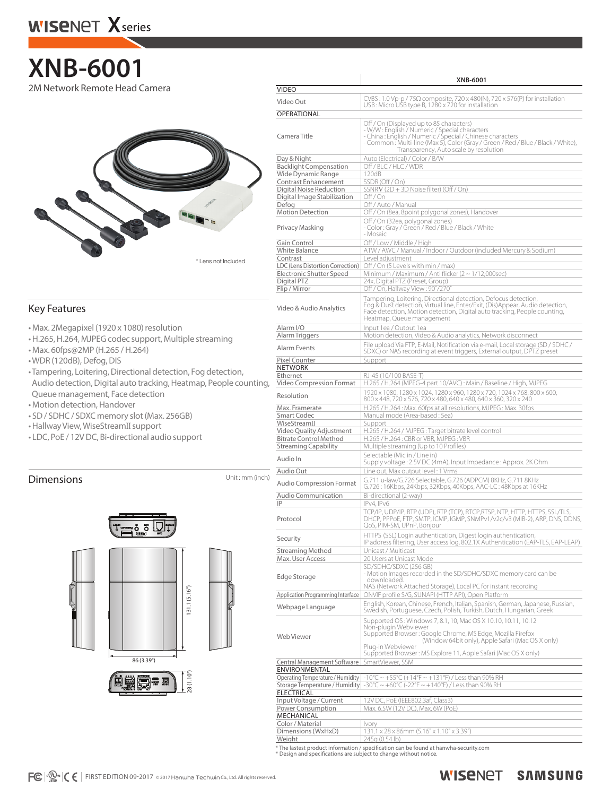## **XNB-6001** 2M Network Remote Head Camera

\* Lens not Included

### Key Features

- Max. 2Megapixel (1920 x 1080) resolution
- H.265, H.264, MJPEG codec support, Multiple streaming
- Max. 60fps@2MP (H.265 / H.264)
- WDR (120dB), Defog, DIS
- Tampering, Loitering, Directional detection, Fog detection, Audio detection, Digital auto tracking, Heatmap, People counting, Queue management, Face detection
- Motion detection, Handover
- SD / SDHC / SDXC memory slot (Max. 256GB)
- Hallway View, WiseStreamII support
- LDC, PoE / 12V DC, Bi-directional audio support

## **Dimensions** Unit: mm (inch)



|                                                                                              | XNB-6001                                                                                                                                                                                                                                                                              |  |  |  |
|----------------------------------------------------------------------------------------------|---------------------------------------------------------------------------------------------------------------------------------------------------------------------------------------------------------------------------------------------------------------------------------------|--|--|--|
| <b>VIDEO</b>                                                                                 |                                                                                                                                                                                                                                                                                       |  |  |  |
| Video Out                                                                                    | $CVBS: 1.0 Vp-p / 75\Omega$ composite, 720 x 480(N), 720 x 576(P) for installation<br>USB: Micro USB type B, 1280 x 720 for installation                                                                                                                                              |  |  |  |
| OPERATIONAL                                                                                  |                                                                                                                                                                                                                                                                                       |  |  |  |
| Camera Title                                                                                 | Off / On (Displayed up to 85 characters)<br>- W/W: English / Numeric / Special characters<br>- China : English / Numeric / Special / Chinese characters<br>- Common: Multi-line (Max 5), Color (Gray / Green / Red / Blue / Black / White),<br>Transparency, Auto scale by resolution |  |  |  |
| Day & Night<br><b>Backlight Compensation</b><br>Wide Dynamic Range                           | Auto (Electrical) / Color / B/W<br>Off / BLC / HLC / WDR<br>120dB                                                                                                                                                                                                                     |  |  |  |
| Contrast Enhancement                                                                         | SSDR (Off / On)                                                                                                                                                                                                                                                                       |  |  |  |
| Digital Noise Reduction                                                                      | SSNRV (2D + 3D Noise filter) (Off / On)                                                                                                                                                                                                                                               |  |  |  |
| Digital Image Stabilization<br>Defog                                                         | Off/On<br>Off / Auto / Manual                                                                                                                                                                                                                                                         |  |  |  |
| <b>Motion Detection</b>                                                                      | Off / On (8ea, 8point polygonal zones), Handover                                                                                                                                                                                                                                      |  |  |  |
| Privacy Masking                                                                              | Off / On (32ea, polygonal zones)<br>- Color: Gray / Green / Red / Blue / Black / White<br>- Mosaic                                                                                                                                                                                    |  |  |  |
| Gain Control                                                                                 | Off / Low / Middle / High                                                                                                                                                                                                                                                             |  |  |  |
| White Balance<br>Contrast                                                                    | ATW / AWC / Manual / Indoor / Outdoor (included Mercury & Sodium)<br>Level adjustment                                                                                                                                                                                                 |  |  |  |
| LDC (Lens Distortion Correction)<br>Electronic Shutter Speed<br>Digital PTZ<br>Flip / Mirror | Off / On (5 Levels with min / max)<br>Minimum / Maximum / Anti flicker (2 ~ 1/12,000sec)<br>24x, Digital PTZ (Preset, Group)<br>Off / On, Hallway View: 90°/270°                                                                                                                      |  |  |  |
| Video & Audio Analytics                                                                      | Tampering, Loitering, Directional detection, Defocus detection,<br>Fog & Dust detection, Virtual line, Enter/Exit, (Dis)Appear, Audio detection,<br>Face detection, Motion detection, Digital auto tracking, People counting,<br>Heatmap, Queue management                            |  |  |  |
| Alarm I/O                                                                                    | Input 1ea / Output 1ea                                                                                                                                                                                                                                                                |  |  |  |
| Alarm Triggers                                                                               | Motion detection, Video & Audio analytics, Network disconnect                                                                                                                                                                                                                         |  |  |  |
| Alarm Events                                                                                 | File upload Via FTP, E-Mail, Notification via e-mail, Local storage (SD / SDHC /<br>SDXC) or NAS recording at event triggers, External output, DPTZ preset                                                                                                                            |  |  |  |
| Pixel Counter<br><b>NETWORK</b>                                                              | Support                                                                                                                                                                                                                                                                               |  |  |  |
| Ethernet                                                                                     | RJ-45 (10/100 BASE-T)                                                                                                                                                                                                                                                                 |  |  |  |
| Video Compression Format                                                                     | H.265 / H.264 (MPEG-4 part 10/AVC) : Main / Baseline / High, MJPEG                                                                                                                                                                                                                    |  |  |  |
| Resolution                                                                                   | 1920 x 1080, 1280 x 1024, 1280 x 960, 1280 x 720, 1024 x 768, 800 x 600,<br>800 x 448, 720 x 576, 720 x 480, 640 x 480, 640 x 360, 320 x 240                                                                                                                                          |  |  |  |
| Max. Framerate                                                                               | H.265 / H.264: Max. 60fps at all resolutions, MJPEG: Max. 30fps                                                                                                                                                                                                                       |  |  |  |
| Smart Codec<br>WiseStreamII                                                                  | Manual mode (Area-based: 5ea)<br>Support                                                                                                                                                                                                                                              |  |  |  |
| Video Quality Adjustment                                                                     | H.265 / H.264 / MJPEG: Target bitrate level control                                                                                                                                                                                                                                   |  |  |  |
| <b>Bitrate Control Method</b><br><b>Streaming Capability</b>                                 | H.265 / H.264 : CBR or VBR, MJPEG : VBR                                                                                                                                                                                                                                               |  |  |  |
|                                                                                              | Multiple streaming (Up to 10 Profiles)<br>Selectable (Mic in / Line in)                                                                                                                                                                                                               |  |  |  |
| Audio In                                                                                     | Supply voltage: 2.5V DC (4mA), Input Impedance: Approx. 2K Ohm                                                                                                                                                                                                                        |  |  |  |
| Audio Out                                                                                    | Line out, Max output level: 1 Vrms<br>G.711 u-law/G.726 Selectable, G.726 (ADPCM) 8KHz, G.711 8KHz                                                                                                                                                                                    |  |  |  |
| <b>Audio Compression Format</b>                                                              | G.726: 16Kbps, 24Kbps, 32Kbps, 40Kbps, AAC-LC: 48Kbps at 16KHz                                                                                                                                                                                                                        |  |  |  |
| Audio Communication<br>IP                                                                    | Bi-directional (2-way)<br>IPv4, IPv6                                                                                                                                                                                                                                                  |  |  |  |
| Protocol                                                                                     | TCP/IP, UDP/IP, RTP (UDP), RTP (TCP), RTCP,RTSP, NTP, HTTP, HTTPS, SSL/TLS,<br>DHCP, PPPoE, FTP, SMTP, ICMP, IGMP, SNMPv1/v2c/v3 (MIB-2), ARP, DNS, DDNS,<br>QoS, PIM-SM, UPnP, Bonjour                                                                                               |  |  |  |
| Security                                                                                     | HTTPS (SSL) Login authentication, Digest login authentication,<br>IP address filtering, User access log, 802.1X Authentication (EAP-TLS, EAP-LEAP)                                                                                                                                    |  |  |  |
| <b>Streaming Method</b><br>Max. User Access                                                  | Unicast / Multicast<br>20 Users at Unicast Mode                                                                                                                                                                                                                                       |  |  |  |
| Edge Storage                                                                                 | SD/SDHC/SDXC (256 GB)<br>- Motion Images recorded in the SD/SDHC/SDXC memory card can be<br>downloaded.                                                                                                                                                                               |  |  |  |
| Application Programming Interface                                                            | NAS (Network Attached Storage), Local PC for instant recording<br>ONVIF profile S/G. SUNAPI (HTTP API). Open Platform                                                                                                                                                                 |  |  |  |
| Webpage Language                                                                             | English, Korean, Chinese, French, Italian, Spanish, German, Japanese, Russian,                                                                                                                                                                                                        |  |  |  |
|                                                                                              | Swedish, Portuguese, Czech, Polish, Turkish, Dutch, Hungarian, Greek<br>Supported OS: Windows 7, 8.1, 10, Mac OS X 10.10, 10.11, 10.12                                                                                                                                                |  |  |  |
| Web Viewer                                                                                   | Non-plugin Webviewer<br>Supported Browser: Google Chrome, MS Edge, Mozilla Firefox<br>(Window 64bit only), Apple Safari (Mac OS X only)<br>Plua-in Webviewer<br>Supported Browser: MS Explore 11, Apple Safari (Mac OS X only)                                                        |  |  |  |
| SmartViewer, SSM<br>Central Management Software                                              |                                                                                                                                                                                                                                                                                       |  |  |  |
| ENVIRONMENTAL<br>Operating Temperature / Humidity                                            | -10°C ~ +55°C (+14°F ~ +131°F) / Less than 90% RH                                                                                                                                                                                                                                     |  |  |  |
| Storage Temperature / Humidity                                                               | $-30^{\circ}$ C ~ $+60^{\circ}$ C (-22°F ~ $+140^{\circ}$ F) / Less than 90% RH                                                                                                                                                                                                       |  |  |  |
| <b>ELECTRICAL</b>                                                                            |                                                                                                                                                                                                                                                                                       |  |  |  |
| Input Voltage / Current<br>Power Consumption                                                 | 12V DC, PoE (IEEE802.3af, Class3)<br>Max. 6.5W (12V DC), Max. 6W (PoE)                                                                                                                                                                                                                |  |  |  |
| MECHANICAL                                                                                   |                                                                                                                                                                                                                                                                                       |  |  |  |
| Color / Material                                                                             | Ivory                                                                                                                                                                                                                                                                                 |  |  |  |

\* The lastest product information / specification can be found at hanwha-security.com \* Design and specifications are subject to change without notice.

**Dimensions (WxHxD)** 131.1 x 28 x 86mm (5.16" x 1.10" x 3.39")<br> **Weight** 245g (0.54 lb)

Weight 245g (0.54 lb)

 $FC \cdot \mathbb{G}_{\text{usmo}} \subset \in$  FIRST EDITION 09-2017 © 2017 Hanwha Techwin Co., Ltd. All rights reserved.

**WISENET SAMSUNG**